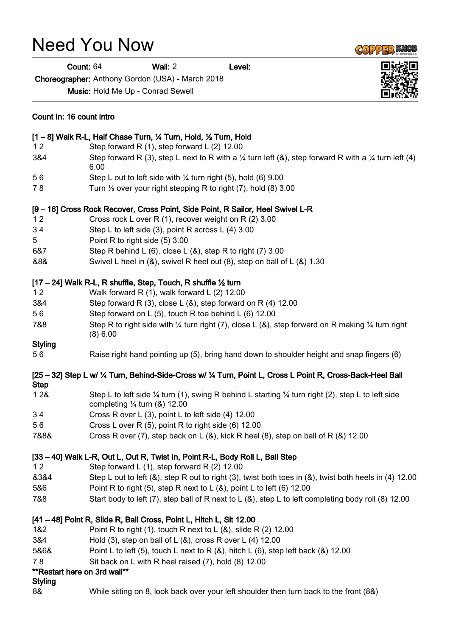## Need You Now

Choreographer: Anthony Gordon (USA) - March 2018

Music: Hold Me Up - Conrad Sewell

| Count In: 16 count intro<br>[1 - 8] Walk R-L, Half Chase Turn, 1/4 Turn, Hold, 1/2 Turn, Hold |                                                                                                                                                                    |
|-----------------------------------------------------------------------------------------------|--------------------------------------------------------------------------------------------------------------------------------------------------------------------|
|                                                                                               |                                                                                                                                                                    |
| 3&4                                                                                           | Step forward R (3), step L next to R with a $\frac{1}{4}$ turn left (&), step forward R with a $\frac{1}{4}$ turn left (4)<br>6.00                                 |
| 56                                                                                            | Step L out to left side with $\frac{1}{4}$ turn right (5), hold (6) 9.00                                                                                           |
| 78                                                                                            | Turn $\frac{1}{2}$ over your right stepping R to right (7), hold (8) 3.00                                                                                          |
|                                                                                               | [9 - 16] Cross Rock Recover, Cross Point, Side Point, R Sailor, Heel Swivel L-R                                                                                    |
| 12                                                                                            | Cross rock L over R (1), recover weight on R (2) 3.00                                                                                                              |
| 34                                                                                            | Step L to left side (3), point R across L (4) 3.00                                                                                                                 |
| 5                                                                                             | Point R to right side (5) 3.00                                                                                                                                     |
| 6&7                                                                                           | Step R behind L (6), close L (&), step R to right (7) 3.00                                                                                                         |
| &8&                                                                                           | Swivel L heel in (&), swivel R heel out (8), step on ball of L (&) 1.30                                                                                            |
|                                                                                               | [17 – 24] Walk R-L, R shuffle, Step, Touch, R shuffle 1/2 turn                                                                                                     |
| 12                                                                                            | Walk forward R $(1)$ , walk forward L $(2)$ 12.00                                                                                                                  |
| 3&4                                                                                           | Step forward R $(3)$ , close L $(8)$ , step forward on R $(4)$ 12.00                                                                                               |
| 56                                                                                            | Step forward on L (5), touch R toe behind L (6) 12.00                                                                                                              |
| 7&8                                                                                           | Step R to right side with $\frac{1}{4}$ turn right (7), close L (&), step forward on R making $\frac{1}{4}$ turn right<br>(8) 6.00                                 |
| <b>Styling</b>                                                                                |                                                                                                                                                                    |
| 56                                                                                            | Raise right hand pointing up (5), bring hand down to shoulder height and snap fingers (6)                                                                          |
| <b>Step</b>                                                                                   | [25 – 32] Step L w/ 1/4 Turn, Behind-Side-Cross w/ 1/4 Turn, Point L, Cross L Point R, Cross-Back-Heel Ball                                                        |
| 128                                                                                           | Step L to left side $\frac{1}{4}$ turn (1), swing R behind L starting $\frac{1}{4}$ turn right (2), step L to left side<br>completing $\frac{1}{4}$ turn (&) 12.00 |
| 34                                                                                            | Cross R over L (3), point L to left side (4) 12.00                                                                                                                 |
| 56                                                                                            | Cross L over R (5), point R to right side (6) 12.00                                                                                                                |
| 7&8&                                                                                          | Cross R over (7), step back on L (&), kick R heel (8), step on ball of R (&) 12.00                                                                                 |
|                                                                                               | [33 - 40] Walk L-R, Out L, Out R, Twist In, Point R-L, Body Roll L, Ball Step                                                                                      |
| 12                                                                                            | Step forward L $(1)$ , step forward R $(2)$ 12.00                                                                                                                  |
| 8384                                                                                          | Step L out to left (&), step R out to right (3), twist both toes in (&), twist both heels in (4) 12.00                                                             |
| 5&6                                                                                           | Point R to right (5), step R next to L $(8)$ , point L to left (6) 12.00                                                                                           |
| 7&8                                                                                           | Start body to left (7), step ball of R next to L $(8)$ , step L to left completing body roll (8) 12.00                                                             |
|                                                                                               | [41 - 48] Point R, Slide R, Ball Cross, Point L, Hitch L, Sit 12.00                                                                                                |
| 1&2                                                                                           | Point R to right (1), touch R next to L $(8)$ , slide R $(2)$ 12.00                                                                                                |
| 3&4                                                                                           | Hold $(3)$ , step on ball of L $(8)$ , cross R over L $(4)$ 12.00                                                                                                  |
| 5&6&                                                                                          | Point L to left (5), touch L next to R $(8)$ , hitch L $(6)$ , step left back $(8)$ 12.00                                                                          |
| 78                                                                                            | Sit back on L with R heel raised (7), hold (8) 12.00                                                                                                               |
| ** Restart here on 3rd wall**                                                                 |                                                                                                                                                                    |
| <b>Styling</b>                                                                                |                                                                                                                                                                    |
| 8&                                                                                            | While sitting on 8, look back over your left shoulder then turn back to the front (8&)                                                                             |



**COPPER KNOP** 

Count: 64 Wall: 2 Level: